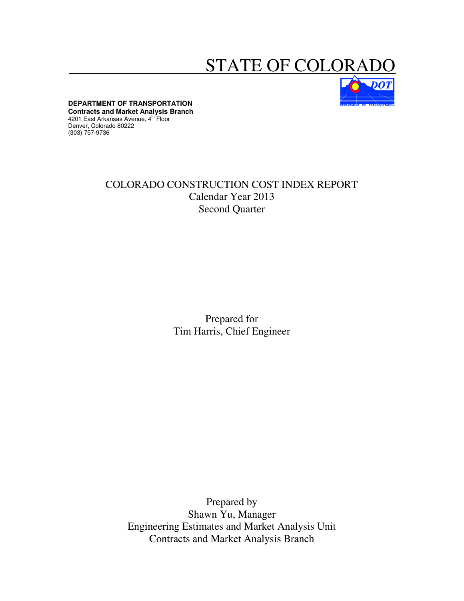## STATE OF COLORAI



**DEPARTMENT OF TRANSPORTATION** 

**Contracts and Market Analysis Branch**  4201 East Arkansas Avenue, 4<sup>th</sup> Floor Denver, Colorado 80222 (303) 757-9736

## COLORADO CONSTRUCTION COST INDEX REPORT Calendar Year 2013 Second Quarter

Prepared for Tim Harris, Chief Engineer

Prepared by Shawn Yu, Manager Engineering Estimates and Market Analysis Unit Contracts and Market Analysis Branch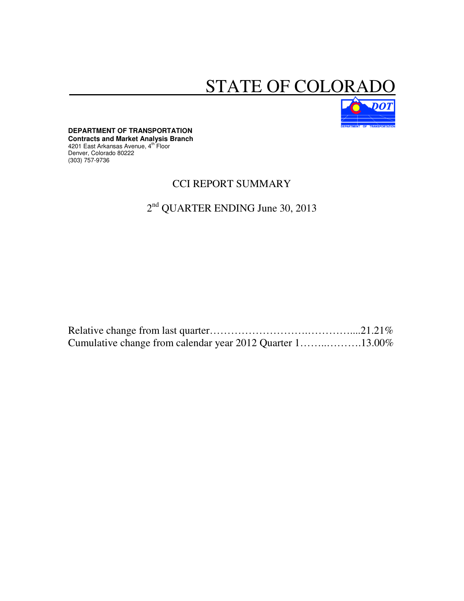# STATE OF COLORADO



**DEPARTMENT OF TRANSPORTATION Contracts and Market Analysis Branch**  4201 East Arkansas Avenue, 4<sup>th Floor</sup> Denver, Colorado 80222 (303) 757-9736

### CCI REPORT SUMMARY

## 2<sup>nd</sup> QUARTER ENDING June 30, 2013

| Cumulative change from calendar year 2012 Quarter 113.00% |  |
|-----------------------------------------------------------|--|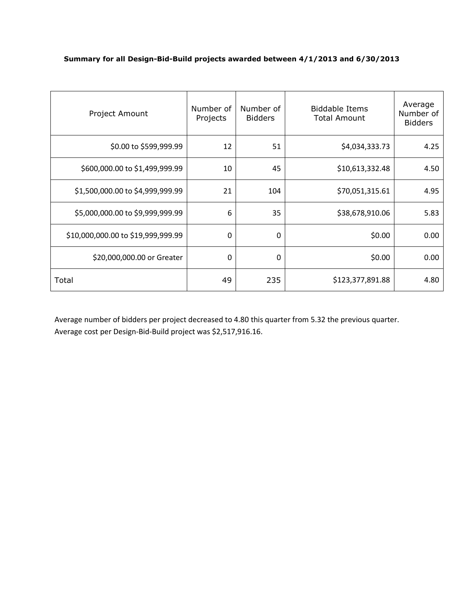#### **Summary for all Design-Bid-Build projects awarded between 4/1/2013 and 6/30/2013**

| Project Amount                     | Number of<br>Projects | Number of<br><b>Bidders</b> | <b>Biddable Items</b><br><b>Total Amount</b> | Average<br>Number of<br><b>Bidders</b> |
|------------------------------------|-----------------------|-----------------------------|----------------------------------------------|----------------------------------------|
| \$0.00 to \$599,999.99             | 12                    | 51                          | \$4,034,333.73                               | 4.25                                   |
| \$600,000.00 to \$1,499,999.99     | 10                    | 45                          | \$10,613,332.48                              | 4.50                                   |
| \$1,500,000.00 to \$4,999,999.99   | 21                    | 104                         | \$70,051,315.61                              | 4.95                                   |
| \$5,000,000.00 to \$9,999,999.99   | 6                     | 35                          | \$38,678,910.06                              | 5.83                                   |
| \$10,000,000.00 to \$19,999,999.99 | 0                     | 0                           | \$0.00                                       | 0.00                                   |
| \$20,000,000.00 or Greater         | 0                     | 0                           | \$0.00                                       | 0.00                                   |
| Total                              | 49                    | 235                         | \$123,377,891.88                             | 4.80                                   |

Average number of bidders per project decreased to 4.80 this quarter from 5.32 the previous quarter. Average cost per Design-Bid-Build project was \$2,517,916.16.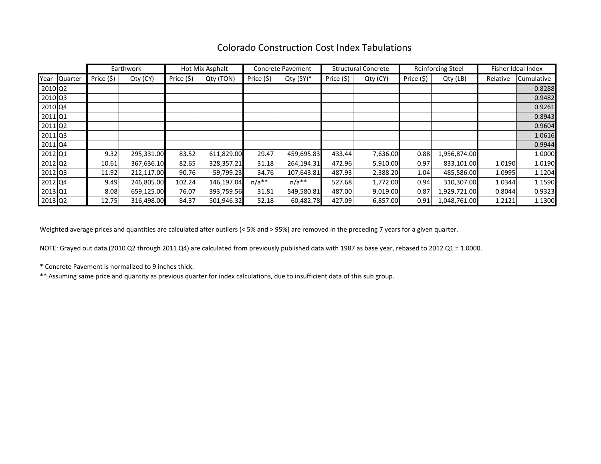### Colorado Construction Cost Index Tabulations

|                       |              |            | Earthwork  |            | Hot Mix Asphalt | <b>Structural Concrete</b><br><b>Concrete Pavement</b> |             | Reinforcing Steel |          | Fisher Ideal Index |              |          |            |
|-----------------------|--------------|------------|------------|------------|-----------------|--------------------------------------------------------|-------------|-------------------|----------|--------------------|--------------|----------|------------|
|                       | Year Quarter | Price (\$) | Qty (CY)   | Price (\$) | Qty (TON)       | Price (\$)                                             | $Qty(SY)^*$ | Price (\$)        | Qty (CY) | Price (\$)         | Qty (LB)     | Relative | Cumulative |
| 2010 Q2               |              |            |            |            |                 |                                                        |             |                   |          |                    |              |          | 0.8288     |
| 2010 Q3               |              |            |            |            |                 |                                                        |             |                   |          |                    |              |          | 0.9482     |
| 2010 Q4               |              |            |            |            |                 |                                                        |             |                   |          |                    |              |          | 0.9261     |
| 2011 Q1               |              |            |            |            |                 |                                                        |             |                   |          |                    |              |          | 0.8943     |
| 2011 Q2               |              |            |            |            |                 |                                                        |             |                   |          |                    |              |          | 0.9604     |
| 2011 Q3               |              |            |            |            |                 |                                                        |             |                   |          |                    |              |          | 1.0616     |
| 2011 Q4               |              |            |            |            |                 |                                                        |             |                   |          |                    |              |          | 0.9944     |
| 2012 Q1               |              | 9.32       | 295,331.00 | 83.52      | 611,829.00      | 29.47                                                  | 459,695.83  | 433.44            | 7,636.00 | 0.88               | 1,956,874.00 |          | 1.0000     |
| $2012$ Q <sup>2</sup> |              | 10.61      | 367,636.10 | 82.65      | 328,357.21      | 31.18                                                  | 264,194.31  | 472.96            | 5,910.00 | 0.97               | 833,101.00   | 1.0190   | 1.0190     |
| 2012 Q3               |              | 11.92      | 212,117.00 | 90.76      | 59,799.23       | 34.76                                                  | 107,643.81  | 487.93            | 2,388.20 | 1.04               | 485,586.00   | 1.0995   | 1.1204     |
| 2012 Q4               |              | 9.49       | 246,805.00 | 102.24     | 146,197.04      | $n/a**$                                                | $n/a**$     | 527.68            | 1,772.00 | 0.94               | 310,307.00   | 1.0344   | 1.1590     |
| 2013 Q1               |              | 8.08       | 659,125.00 | 76.07      | 393,759.56      | 31.81                                                  | 549,580.81  | 487.00            | 9,019.00 | 0.87               | 1,929,721.00 | 0.8044   | 0.9323     |
| 2013 Q2               |              | 12.75      | 316,498.00 | 84.37      | 501,946.32      | 52.18                                                  | 60,482.78   | 427.09            | 6,857.00 | 0.91               | 1,048,761.00 | 1.2121   | 1.1300     |

Weighted average prices and quantities are calculated after outliers (< 5% and > 95%) are removed in the preceding 7 years for a given quarter.

NOTE: Grayed out data (2010 Q2 through 2011 Q4) are calculated from previously published data with 1987 as base year, rebased to 2012 Q1 = 1.0000.

\* Concrete Pavement is normalized to 9 inches thick.

\*\* Assuming same price and quantity as previous quarter for index calculations, due to insufficient data of this sub group.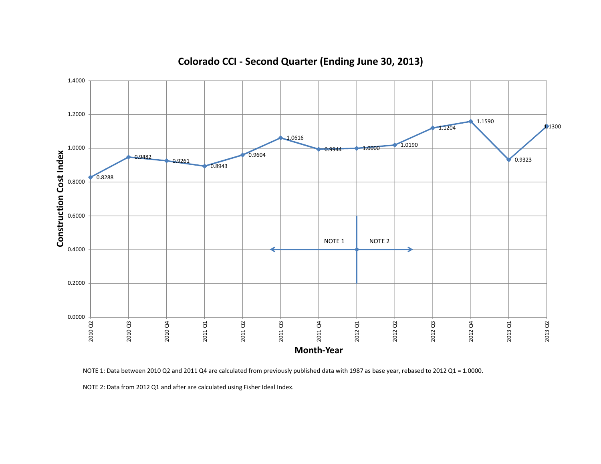

## **Colorado CCI - Second Quarter (Ending June 30, 2013)**

NOTE 1: Data between 2010 Q2 and 2011 Q4 are calculated from previously published data with 1987 as base year, rebased to 2012 Q1 = 1.0000.

NOTE 2: Data from 2012 Q1 and after are calculated using Fisher Ideal Index.